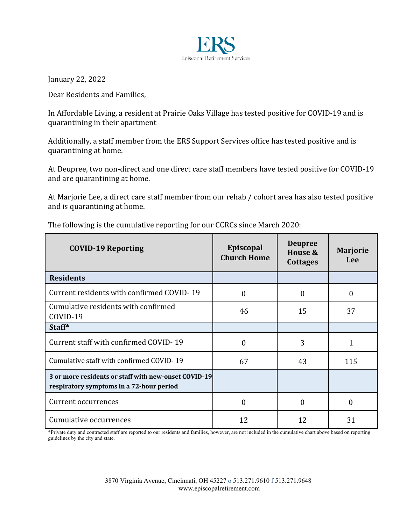

January 22, 2022

Dear Residents and Families,

In Affordable Living, a resident at Prairie Oaks Village has tested positive for COVID-19 and is quarantining in their apartment

Additionally, a staff member from the ERS Support Services office has tested positive and is quarantining at home.

At Deupree, two non-direct and one direct care staff members have tested positive for COVID-19 and are quarantining at home.

At Marjorie Lee, a direct care staff member from our rehab / cohort area has also tested positive and is quarantining at home.

| <b>COVID-19 Reporting</b>                                                                        | Episcopal<br><b>Church Home</b> | <b>Deupree</b><br>House &<br><b>Cottages</b> | <b>Marjorie</b><br>Lee |
|--------------------------------------------------------------------------------------------------|---------------------------------|----------------------------------------------|------------------------|
| <b>Residents</b>                                                                                 |                                 |                                              |                        |
| Current residents with confirmed COVID-19                                                        | $\Omega$                        | $\Omega$                                     | $\Omega$               |
| Cumulative residents with confirmed<br>COVID-19                                                  | 46                              | 15                                           | 37                     |
| Staff*                                                                                           |                                 |                                              |                        |
| Current staff with confirmed COVID-19                                                            | $\mathbf{0}$                    | 3                                            | $\mathbf{1}$           |
| Cumulative staff with confirmed COVID-19                                                         | 67                              | 43                                           | 115                    |
| 3 or more residents or staff with new-onset COVID-19<br>respiratory symptoms in a 72-hour period |                                 |                                              |                        |
| Current occurrences                                                                              | $\theta$                        | $\Omega$                                     | 0                      |
| Cumulative occurrences                                                                           | 12                              | 12                                           | 31                     |

The following is the cumulative reporting for our CCRCs since March 2020:

\*Private duty and contracted staff are reported to our residents and families, however, are not included in the cumulative chart above based on reporting guidelines by the city and state.